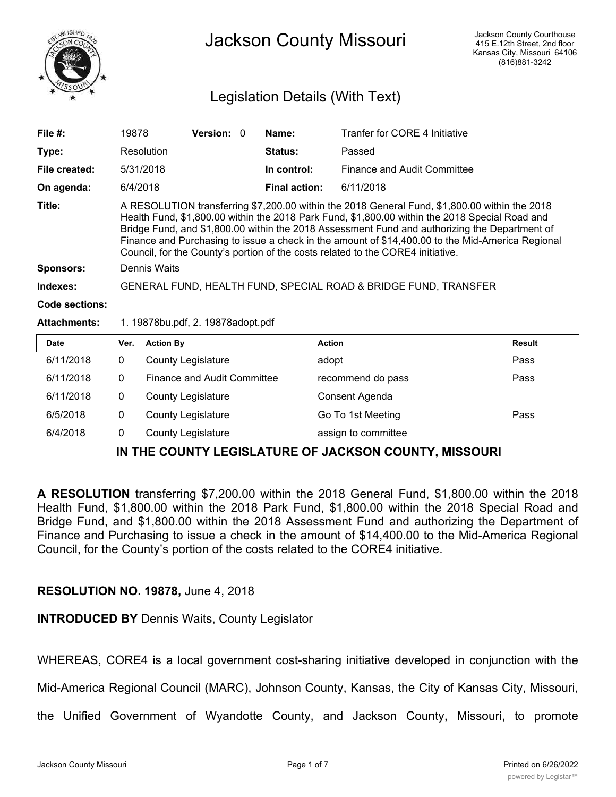

## Jackson County Missouri

### Legislation Details (With Text)

| File $#$ :                                               | 19878                                                           |                                    | Version: 0 |  | Name:                | Tranfer for CORE 4 Initiative                                                                                                                                                                                                                                                                                                                                                                                                                                                           |               |
|----------------------------------------------------------|-----------------------------------------------------------------|------------------------------------|------------|--|----------------------|-----------------------------------------------------------------------------------------------------------------------------------------------------------------------------------------------------------------------------------------------------------------------------------------------------------------------------------------------------------------------------------------------------------------------------------------------------------------------------------------|---------------|
| Type:                                                    |                                                                 | Resolution                         |            |  | Status:              | Passed                                                                                                                                                                                                                                                                                                                                                                                                                                                                                  |               |
| File created:                                            |                                                                 | 5/31/2018                          |            |  | In control:          | Finance and Audit Committee                                                                                                                                                                                                                                                                                                                                                                                                                                                             |               |
| On agenda:                                               | 6/4/2018                                                        |                                    |            |  | <b>Final action:</b> | 6/11/2018                                                                                                                                                                                                                                                                                                                                                                                                                                                                               |               |
| Title:                                                   |                                                                 |                                    |            |  |                      | A RESOLUTION transferring \$7,200.00 within the 2018 General Fund, \$1,800.00 within the 2018<br>Health Fund, \$1,800.00 within the 2018 Park Fund, \$1,800.00 within the 2018 Special Road and<br>Bridge Fund, and \$1,800.00 within the 2018 Assessment Fund and authorizing the Department of<br>Finance and Purchasing to issue a check in the amount of \$14,400.00 to the Mid-America Regional<br>Council, for the County's portion of the costs related to the CORE4 initiative. |               |
| <b>Sponsors:</b>                                         | Dennis Waits                                                    |                                    |            |  |                      |                                                                                                                                                                                                                                                                                                                                                                                                                                                                                         |               |
| Indexes:                                                 | GENERAL FUND, HEALTH FUND, SPECIAL ROAD & BRIDGE FUND, TRANSFER |                                    |            |  |                      |                                                                                                                                                                                                                                                                                                                                                                                                                                                                                         |               |
| <b>Code sections:</b>                                    |                                                                 |                                    |            |  |                      |                                                                                                                                                                                                                                                                                                                                                                                                                                                                                         |               |
| <b>Attachments:</b><br>1. 19878bu.pdf, 2. 19878adopt.pdf |                                                                 |                                    |            |  |                      |                                                                                                                                                                                                                                                                                                                                                                                                                                                                                         |               |
| <b>Date</b>                                              | Ver.                                                            | <b>Action By</b>                   |            |  |                      | <b>Action</b>                                                                                                                                                                                                                                                                                                                                                                                                                                                                           | <b>Result</b> |
| 6/11/2018                                                | $\mathbf{0}$                                                    | <b>County Legislature</b>          |            |  |                      | adopt                                                                                                                                                                                                                                                                                                                                                                                                                                                                                   | Pass          |
| 6/11/2018                                                | $\mathbf{0}$                                                    | <b>Finance and Audit Committee</b> |            |  |                      | recommend do pass                                                                                                                                                                                                                                                                                                                                                                                                                                                                       | Pass          |
| 6/11/2018                                                | $\mathbf 0$                                                     | <b>County Legislature</b>          |            |  |                      | Consent Agenda                                                                                                                                                                                                                                                                                                                                                                                                                                                                          |               |
| 6/5/2018                                                 | 0                                                               | <b>County Legislature</b>          |            |  |                      | Go To 1st Meeting                                                                                                                                                                                                                                                                                                                                                                                                                                                                       | Pass          |

#### **IN THE COUNTY LEGISLATURE OF JACKSON COUNTY, MISSOURI**

6/4/2018 0 County Legislature **business** assign to committee

**A RESOLUTION** transferring \$7,200.00 within the 2018 General Fund, \$1,800.00 within the 2018 Health Fund, \$1,800.00 within the 2018 Park Fund, \$1,800.00 within the 2018 Special Road and Bridge Fund, and \$1,800.00 within the 2018 Assessment Fund and authorizing the Department of Finance and Purchasing to issue a check in the amount of \$14,400.00 to the Mid-America Regional Council, for the County's portion of the costs related to the CORE4 initiative.

#### **RESOLUTION NO. 19878,** June 4, 2018

**INTRODUCED BY** Dennis Waits, County Legislator

WHEREAS, CORE4 is a local government cost-sharing initiative developed in conjunction with the

Mid-America Regional Council (MARC), Johnson County, Kansas, the City of Kansas City, Missouri,

the Unified Government of Wyandotte County, and Jackson County, Missouri, to promote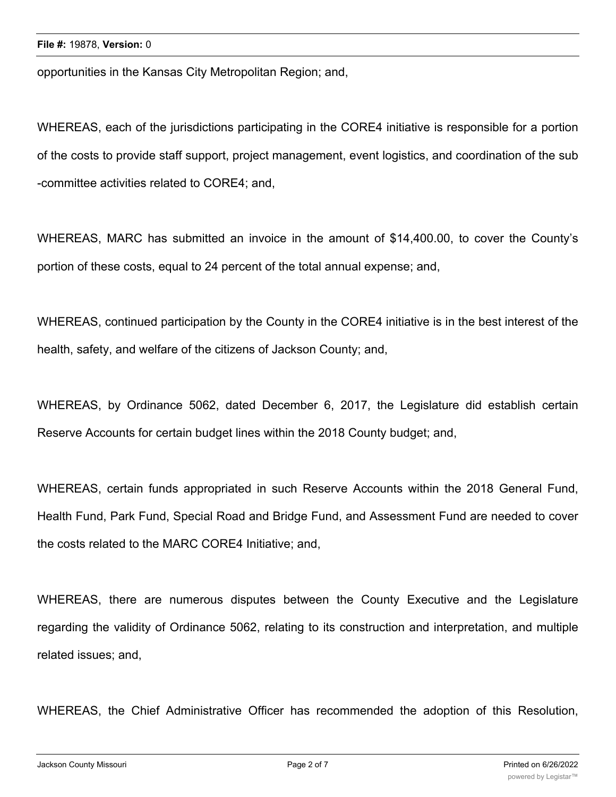opportunities in the Kansas City Metropolitan Region; and,

WHEREAS, each of the jurisdictions participating in the CORE4 initiative is responsible for a portion of the costs to provide staff support, project management, event logistics, and coordination of the sub -committee activities related to CORE4; and,

WHEREAS, MARC has submitted an invoice in the amount of \$14,400.00, to cover the County's portion of these costs, equal to 24 percent of the total annual expense; and,

WHEREAS, continued participation by the County in the CORE4 initiative is in the best interest of the health, safety, and welfare of the citizens of Jackson County; and,

WHEREAS, by Ordinance 5062, dated December 6, 2017, the Legislature did establish certain Reserve Accounts for certain budget lines within the 2018 County budget; and,

WHEREAS, certain funds appropriated in such Reserve Accounts within the 2018 General Fund, Health Fund, Park Fund, Special Road and Bridge Fund, and Assessment Fund are needed to cover the costs related to the MARC CORE4 Initiative; and,

WHEREAS, there are numerous disputes between the County Executive and the Legislature regarding the validity of Ordinance 5062, relating to its construction and interpretation, and multiple related issues; and,

WHEREAS, the Chief Administrative Officer has recommended the adoption of this Resolution,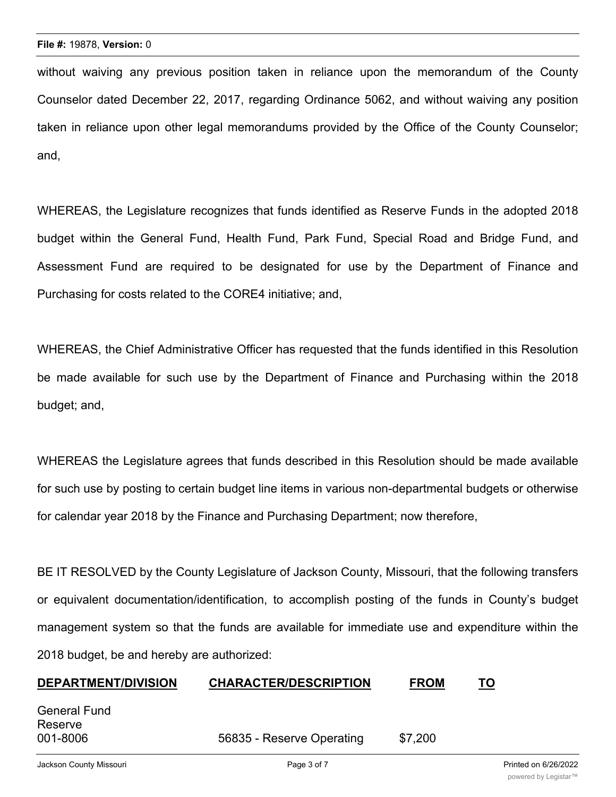without waiving any previous position taken in reliance upon the memorandum of the County Counselor dated December 22, 2017, regarding Ordinance 5062, and without waiving any position taken in reliance upon other legal memorandums provided by the Office of the County Counselor; and,

WHEREAS, the Legislature recognizes that funds identified as Reserve Funds in the adopted 2018 budget within the General Fund, Health Fund, Park Fund, Special Road and Bridge Fund, and Assessment Fund are required to be designated for use by the Department of Finance and Purchasing for costs related to the CORE4 initiative; and,

WHEREAS, the Chief Administrative Officer has requested that the funds identified in this Resolution be made available for such use by the Department of Finance and Purchasing within the 2018 budget; and,

WHEREAS the Legislature agrees that funds described in this Resolution should be made available for such use by posting to certain budget line items in various non-departmental budgets or otherwise for calendar year 2018 by the Finance and Purchasing Department; now therefore,

BE IT RESOLVED by the County Legislature of Jackson County, Missouri, that the following transfers or equivalent documentation/identification, to accomplish posting of the funds in County's budget management system so that the funds are available for immediate use and expenditure within the 2018 budget, be and hereby are authorized:

# **DEPARTMENT/DIVISION CHARACTER/DESCRIPTION FROM TO**

| General Fund |                           |         |  |
|--------------|---------------------------|---------|--|
| Reserve      |                           |         |  |
| 001-8006     | 56835 - Reserve Operating | \$7,200 |  |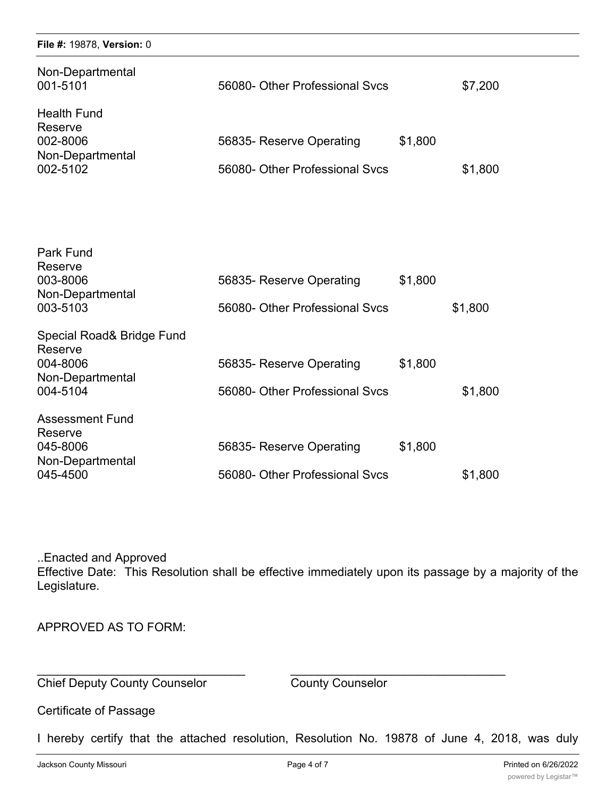#### **File #:** 19878, **Version:** 0

| Non-Departmental<br>001-5101                                              | 56080- Other Professional Sycs                             |         | \$7,200 |
|---------------------------------------------------------------------------|------------------------------------------------------------|---------|---------|
| <b>Health Fund</b><br>Reserve<br>002-8006<br>Non-Departmental<br>002-5102 | 56835- Reserve Operating<br>56080- Other Professional Svcs | \$1,800 | \$1,800 |

| Park Fund<br>Reserve                 |                                |         |         |
|--------------------------------------|--------------------------------|---------|---------|
| 003-8006                             | 56835- Reserve Operating       | \$1,800 |         |
| Non-Departmental<br>003-5103         | 56080- Other Professional Sycs |         | \$1,800 |
| Special Road& Bridge Fund<br>Reserve |                                |         |         |
| 004-8006                             | 56835- Reserve Operating       | \$1,800 |         |
| Non-Departmental<br>004-5104         | 56080- Other Professional Sycs |         | \$1,800 |
| <b>Assessment Fund</b><br>Reserve    |                                |         |         |
| 045-8006                             | 56835- Reserve Operating       | \$1,800 |         |
| Non-Departmental<br>045-4500         | 56080- Other Professional Sycs |         | \$1,800 |

..Enacted and Approved Effective Date: This Resolution shall be effective immediately upon its passage by a majority of the Legislature.

\_\_\_\_\_\_\_\_\_\_\_\_\_\_\_\_\_\_\_\_\_\_\_\_\_\_\_\_\_\_\_ \_\_\_\_\_\_\_\_\_\_\_\_\_\_\_\_\_\_\_\_\_\_\_\_\_\_\_\_\_\_\_\_

APPROVED AS TO FORM:

**Chief Deputy County Counselor** County Counselor

Certificate of Passage

I hereby certify that the attached resolution, Resolution No. 19878 of June 4, 2018, was duly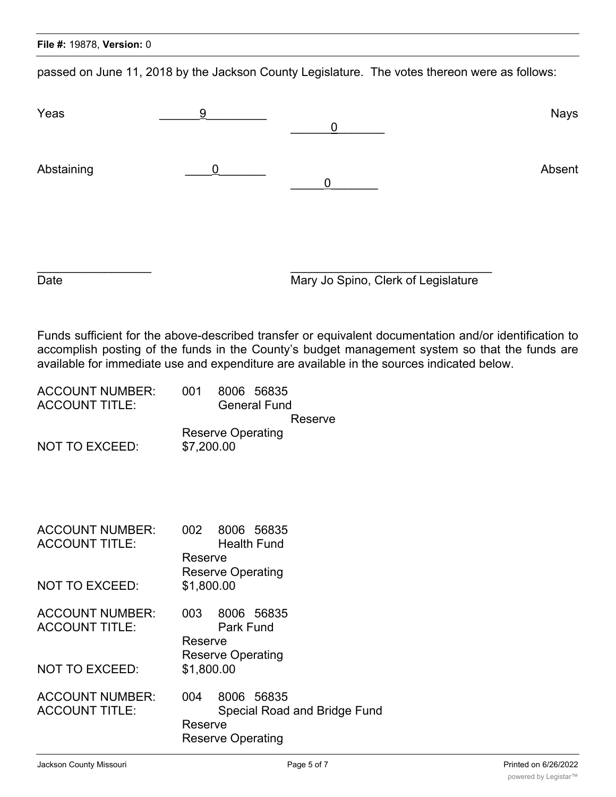|  |  | <b>File #: 19878, Version: 0</b> |
|--|--|----------------------------------|
|--|--|----------------------------------|

passed on June 11, 2018 by the Jackson County Legislature. The votes thereon were as follows:

| Yeas                                                                                      | 9                                                                                            | $\overline{0}$                      | <b>Nays</b>                                                                                                                                                                                              |
|-------------------------------------------------------------------------------------------|----------------------------------------------------------------------------------------------|-------------------------------------|----------------------------------------------------------------------------------------------------------------------------------------------------------------------------------------------------------|
| Abstaining                                                                                | 0                                                                                            | 0                                   | Absent                                                                                                                                                                                                   |
| Date                                                                                      |                                                                                              | Mary Jo Spino, Clerk of Legislature |                                                                                                                                                                                                          |
| available for immediate use and expenditure are available in the sources indicated below. |                                                                                              |                                     | Funds sufficient for the above-described transfer or equivalent documentation and/or identification to<br>accomplish posting of the funds in the County's budget management system so that the funds are |
| <b>ACCOUNT NUMBER:</b><br><b>ACCOUNT TITLE:</b>                                           | 001<br>8006 56835<br><b>General Fund</b>                                                     | Reserve                             |                                                                                                                                                                                                          |
| NOT TO EXCEED:                                                                            | <b>Reserve Operating</b><br>\$7,200.00                                                       |                                     |                                                                                                                                                                                                          |
| <b>ACCOUNT NUMBER:</b><br><b>ACCOUNT TITLE:</b><br>NOT TO EXCEED:                         | 002<br>8006 56835<br><b>Health Fund</b><br>Reserve<br><b>Reserve Operating</b><br>\$1,800.00 |                                     |                                                                                                                                                                                                          |
| <b>ACCOUNT NUMBER:</b><br><b>ACCOUNT TITLE:</b>                                           | 003<br>8006 56835<br><b>Park Fund</b><br>Reserve<br><b>Reserve Operating</b>                 |                                     |                                                                                                                                                                                                          |
| <b>NOT TO EXCEED:</b>                                                                     | \$1,800.00                                                                                   |                                     |                                                                                                                                                                                                          |
| <b>ACCOUNT NUMBER:</b><br><b>ACCOUNT TITLE:</b>                                           | 8006 56835<br>004<br>Reserve<br><b>Reserve Operating</b>                                     | <b>Special Road and Bridge Fund</b> |                                                                                                                                                                                                          |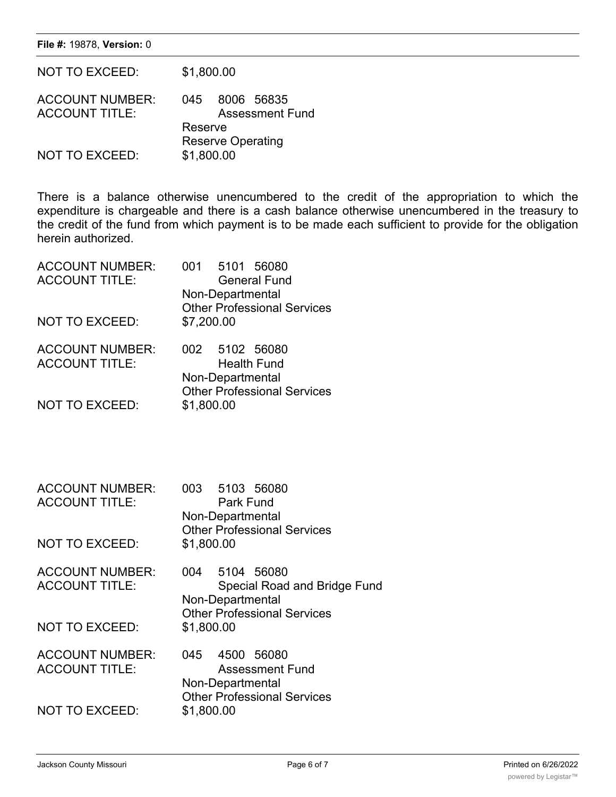**File #:** 19878, **Version:** 0

| <b>NOT TO EXCEED:</b>                           | \$1,800.00                                        |  |  |
|-------------------------------------------------|---------------------------------------------------|--|--|
| <b>ACCOUNT NUMBER:</b><br><b>ACCOUNT TITLE:</b> | 8006 56835<br>045<br><b>Assessment Fund</b>       |  |  |
| <b>NOT TO EXCEED:</b>                           | Reserve<br><b>Reserve Operating</b><br>\$1,800.00 |  |  |

There is a balance otherwise unencumbered to the credit of the appropriation to which the expenditure is chargeable and there is a cash balance otherwise unencumbered in the treasury to the credit of the fund from which payment is to be made each sufficient to provide for the obligation herein authorized.

| <b>ACCOUNT NUMBER:</b><br><b>ACCOUNT TITLE:</b> | 5101 56080<br>001<br><b>General Fund</b>                                                       |
|-------------------------------------------------|------------------------------------------------------------------------------------------------|
|                                                 | Non-Departmental<br><b>Other Professional Services</b>                                         |
| <b>NOT TO EXCEED:</b>                           | \$7,200.00                                                                                     |
| <b>ACCOUNT NUMBER:</b><br><b>ACCOUNT TITLE:</b> | 002 5102 56080<br><b>Health Fund</b><br>Non-Departmental<br><b>Other Professional Services</b> |
| <b>NOT TO EXCEED:</b>                           | \$1,800.00                                                                                     |

| <b>ACCOUNT NUMBER:</b><br><b>ACCOUNT TITLE:</b><br>NOT TO EXCEED:        | 003 5103 56080<br>Park Fund<br>Non-Departmental<br><b>Other Professional Services</b><br>\$1,800.00                       |
|--------------------------------------------------------------------------|---------------------------------------------------------------------------------------------------------------------------|
| <b>ACCOUNT NUMBER:</b><br><b>ACCOUNT TITLE:</b><br><b>NOT TO EXCEED:</b> | 5104 56080<br>004<br>Special Road and Bridge Fund<br>Non-Departmental<br><b>Other Professional Services</b><br>\$1,800.00 |
| <b>ACCOUNT NUMBER:</b><br><b>ACCOUNT TITLE:</b><br>NOT TO EXCEED:        | 4500 56080<br>045<br><b>Assessment Fund</b><br>Non-Departmental<br><b>Other Professional Services</b><br>\$1,800.00       |